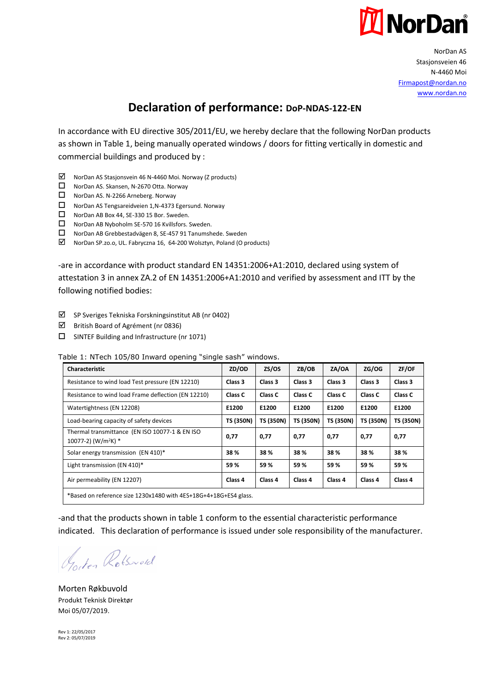

NorDan AS Stasionsveien 46 N-4460 Moi [Firmapost@nordan.no](mailto:Firmapost@nordan.no) [www.nordan.no](http://www.nordan.no/)

## **Declaration of performance: DoP-NDAS-122-EN**

In accordance with EU directive 305/2011/EU, we hereby declare that the following NorDan products as shown in Table 1, being manually operated windows / doors for fitting vertically in domestic and commercial buildings and produced by :

- NorDan AS Stasjonsvein 46 N-4460 Moi. Norway (Z products)
- NorDan AS. Skansen, N-2670 Otta. Norway
- NorDan AS. N-2266 Arneberg. Norway
- NorDan AS Tengsareidveien 1,N-4373 Egersund. Norway
- NorDan AB Box 44, SE-330 15 Bor. Sweden.
- NorDan AB Nyboholm SE-570 16 Kvillsfors. Sweden.
- NorDan AB Grebbestadvägen 8, SE-457 91 Tanumshede. Sweden
- NorDan SP.zo.o, UL. Fabryczna 16, 64-200 Wolsztyn, Poland (O products)

-are in accordance with product standard EN 14351:2006+A1:2010, declared using system of attestation 3 in annex ZA.2 of EN 14351:2006+A1:2010 and verified by assessment and ITT by the following notified bodies:

- $\boxtimes$  SP Sveriges Tekniska Forskningsinstitut AB (nr 0402)
- $\boxtimes$  British Board of Agrément (nr 0836)
- □ SINTEF Building and Infrastructure (nr 1071)

Table 1: NTech 105/80 Inward opening "single sash" windows.

| <b>Characteristic</b>                                                                | ZD/OD            | ZS/OS            | ZB/OB              | ZA/OA            | ZG/OG            | ZF/OF            |  |
|--------------------------------------------------------------------------------------|------------------|------------------|--------------------|------------------|------------------|------------------|--|
| Resistance to wind load Test pressure (EN 12210)                                     | Class 3          | Class 3          | Class 3            | Class 3          | Class 3          | Class 3          |  |
| Resistance to wind load Frame deflection (EN 12210)                                  | Class C          | Class C          | Class C            | Class C          | Class C          | Class C          |  |
| Watertightness (EN 12208)                                                            | E1200            | E1200            | E1200              | E1200            | E1200            | E1200            |  |
| Load-bearing capacity of safety devices                                              | <b>TS (350N)</b> | <b>TS (350N)</b> | <b>TS (350N)</b>   | <b>TS (350N)</b> | <b>TS (350N)</b> | <b>TS (350N)</b> |  |
| Thermal transmittance (EN ISO 10077-1 & EN ISO<br>$10077-2$ ) (W/m <sup>2</sup> K) * | 0,77             | 0.77             | 0,77               | 0,77             | 0,77             | 0,77             |  |
| Solar energy transmission (EN 410)*                                                  | 38%              | 38 %             | 38%                | 38 %             | 38%              | 38 %             |  |
| Light transmission (EN 410)*                                                         | 59%              | 59%              | 59%                | 59%              | 59%              | 59%              |  |
| Air permeability (EN 12207)                                                          | Class 4          | Class 4          | Class <sub>4</sub> | Class 4          | Class 4          | Class 4          |  |
| *Based on reference size 1230x1480 with 4ES+18G+4+18G+ES4 glass.                     |                  |                  |                    |                  |                  |                  |  |

-and that the products shown in table 1 conform to the essential characteristic performance indicated. This declaration of performance is issued under sole responsibility of the manufacturer.

Goden Rotsword

Morten Røkbuvold Produkt Teknisk Direktør Moi 05/07/2019.

Rev 1: 22/05/2017 Rev 2: 05/07/2019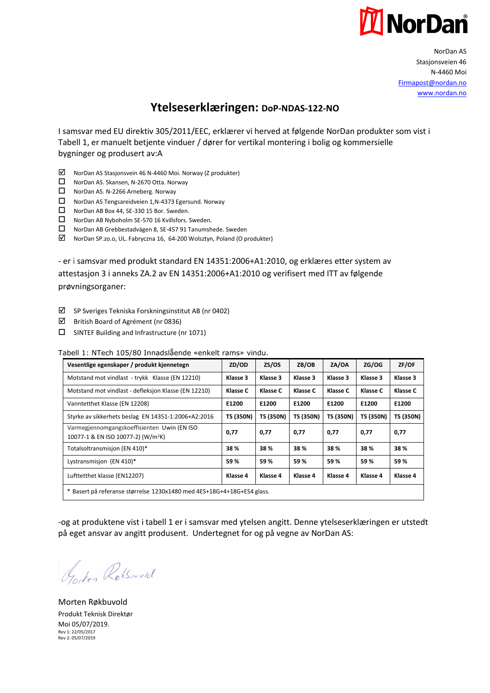

NorDan AS Stasionsveien 46 N-4460 Moi [Firmapost@nordan.no](mailto:Firmapost@nordan.no) [www.nordan.no](http://www.nordan.no/)

## **Ytelseserklæringen: DoP-NDAS-122-NO**

I samsvar med EU direktiv 305/2011/EEC, erklærer vi herved at følgende NorDan produkter som vist i Tabell 1, er manuelt betjente vinduer / dører for vertikal montering i bolig og kommersielle bygninger og produsert av:A

- NorDan AS Stasjonsvein 46 N-4460 Moi. Norway (Z produkter)
- □ NorDan AS. Skansen, N-2670 Otta. Norway
- □ NorDan AS. N-2266 Arneberg. Norway
- NorDan AS Tengsareidveien 1,N-4373 Egersund. Norway
- NorDan AB Box 44, SE-330 15 Bor. Sweden.
- □ NorDan AB Nyboholm SE-570 16 Kvillsfors. Sweden.
- NorDan AB Grebbestadvägen 8, SE-457 91 Tanumshede. Sweden
- NorDan SP.zo.o, UL. Fabryczna 16, 64-200 Wolsztyn, Poland (O produkter)

- er i samsvar med produkt standard EN 14351:2006+A1:2010, og erklæres etter system av attestasjon 3 i anneks ZA.2 av EN 14351:2006+A1:2010 og verifisert med ITT av følgende prøvningsorganer:

- $\boxtimes$  SP Sveriges Tekniska Forskningsinstitut AB (nr 0402)
- $\boxtimes$  British Board of Agrément (nr 0836)
- $\square$  SINTEF Building and Infrastructure (nr 1071)

Tabell 1: NTech 105/80 Innadslående «enkelt rams» vindu.

| Vesentlige egenskaper / produkt kjennetegn                                                    | ZD/OD            | ZS/OS     | ZB/OB            | ZA/OA            | ZG/OG            | ZF/OF            |
|-----------------------------------------------------------------------------------------------|------------------|-----------|------------------|------------------|------------------|------------------|
| Motstand mot vindlast - trykk Klasse (EN 12210)                                               | Klasse 3         | Klasse 3  | Klasse 3         | Klasse 3         | Klasse 3         | Klasse 3         |
| Motstand mot vindlast - defleksjon Klasse (EN 12210)                                          | Klasse C         | Klasse C  | Klasse C         | Klasse C         | Klasse C         | Klasse C         |
| Vanntetthet Klasse (EN 12208)                                                                 | E1200            | E1200     | E1200            | E1200            | E1200            | E1200            |
| Styrke av sikkerhets beslag EN 14351-1:2006+A2:2016                                           | <b>TS (350N)</b> | TS (350N) | <b>TS (350N)</b> | <b>TS (350N)</b> | <b>TS (350N)</b> | <b>TS (350N)</b> |
| Varmegjennomgangskoeffisienten Uwin (EN ISO<br>10077-1 & EN ISO 10077-2) (W/m <sup>2</sup> K) | 0,77             | 0,77      | 0,77             | 0,77             | 0,77             | 0,77             |
| Totalsoltransmisjon (EN 410)*                                                                 | 38%              | 38 %      | 38%              | 38 %             | 38%              | 38 %             |
| Lystransmisjon (EN 410)*                                                                      | 59%              | 59%       | 59%              | 59%              | 59%              | 59%              |
| Lufttetthet klasse (EN12207)                                                                  | Klasse 4         | Klasse 4  | Klasse 4         | Klasse 4         | Klasse 4         | Klasse 4         |
| * Basert på referanse størrelse 1230x1480 med 4ES+18G+4+18G+ES4 glass.                        |                  |           |                  |                  |                  |                  |

-og at produktene vist i tabell 1 er i samsvar med ytelsen angitt. Denne ytelseserklæringen er utstedt på eget ansvar av angitt produsent. Undertegnet for og på vegne av NorDan AS:

Goden Rotsword

Rev 1: 22/05/2017 Rev 2: 05/07/2019 Morten Røkbuvold Produkt Teknisk Direktør Moi 05/07/2019.